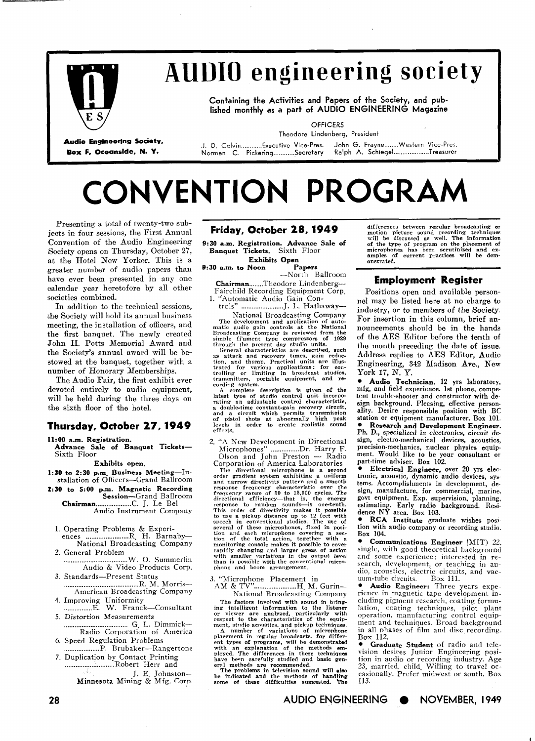

# **AUDIO engineering society**

**Containing the Activities and Papers of the Society, and published monthly as a part of AUDIO ENGINEERING Magazine** 

**OFFICERS** Theodore Lindenberg, President

Audio Engineering Society, March M. D. Colvin...........Executive Vice-Pres. John G. Frayne........Western Vice-Pres.<br>Box F, Oceanside, N. Y. Morman C. Pickering...........Secretary Ralph A. Schlegel..................Treas

# **CONVENTION PROGRAM**

Presenting a total of twenty-two subjects in four sessions, the First Annual Convention of the Audio Engineering Society opens on Thursday, October 27, at the Hotel New Yorker. This is a greater number of audio papers than have ever been presented in any one calendar year heretofore by all other societies combined.

In addition to the technical sessions, the Society will hold its annual business meeting, the installation of officers, and the first bnnquet. The newly created John H. Potts Memorial Award and the Society's annual award will be bestowed at the banquet, together with a number of Honorary Memberships.

The Audio Fair, the first exhibit ever devoted entirely to audio equipment, will be held during the three days on the sixth floor of the hotel.

## **Thursday, October 27,1949**

11:00 a.m. Registration.

**Advance Sale of Banquet Tickets-**Sixth Floor

**Exhibits open.** 

- 1:30 to 2:30 p.m. Business Meeting-Installation of Officers-Grand Ballroom
- **2:SO to 5:00 p.m. Magnetic Recording Session-Grand** Ballroom **Chairman** .................... C. **J.** Le Be1 Audio Instrument Company
	- 1. Operating Problems & Experi- ences ........................ R. H. Barnaby-
	- National Broadcasting Company
- 2. General Problem .................................... W. 0. Summerlin Audio & Video Products Corp. 3. Standards-Present Status
- .......................................... R. M. Morris-American Broadcasting Company
- 4. Improving Uniformity ................ E. W. Franck-Consultant
- 5. Distortion Measurements .................................... *G.* L. Dimmick-
- Radio Corporation of America *6.* Speed Regulation Problems
- .................... P. Rrubaker--Rangertone **7.** Duplication by Contact Printing ............................ Robert Herr and

J. E. Johnston-Minnesota Mining & Mfg. Corp

#### **Friday, October 28,1949**

**9:30 a.m. Registration. Advance Sale of Banquet Tickets.** Sixth Floor

**Exhibits Open** 

**9:30 a.m. to Noon** -North Ballroom

**Chairman** ........ Theodore Lindenberg-- Fairchild Recording Equipment Corp. 1. "Automatic Audio Gain Con-

trols" ........................ J. L. Hathaway-

National Broadcasting Company<br>
The development and application of auto-<br>
The development and application of auto-<br>
Broadcasting Company is reviewed from the<br>
simple filement type compressors of 1929<br>
shrple development typ transmitters, portable equipment, and re-<br>cording system.

A complete description is given of the latest type of studio control unit incorporating an adjustable control characteristic,<br>a double-time constant-gain recovery circuit,<br>and a circuit which permits transmission<br>of pistol shots at abnormally high peak<br>levels in order to create realistic sound<br>effects.

2. "A New Development in Directional A New Development in Directional<br>Microphones" ................Dr. Harry F.<br>Olson and John Preston --- Radio<br>America Jabaratories

Corporation of America Laboratories<br>
The directional microphone is a second<br>
order gradient system exhibiting a uniform<br>
and narrow directivity pattern and a smooth<br>
response frequency characteristic over the<br>
frequency ra with smaller variations in the output level<br>than is possible with the conventional microphone and boom arrangement.

3. "Microphone Placement in AM & **...........................** H. M. Gurin-National Broadcasting Company

The factors involved with sound in bring-<br>ing intelligent information to the listener<br>or viewer are analyzed, particularly with<br>respect to the characteristics of the equip-<br>ment, studio acoustics, and pickup techniques.<br>A

with an explanation of the methods em-<br>ployed. The differences in these techniques<br>have been carefully studied and basic general methods are recommended.<br>The problems in television sound will also<br>be indicated and the meth

differences between regular broadcasting or<br>motion picture sound recording techniques<br>will be discussed as well. The information<br>of the type of program on the placement of<br>microphones has been scrutinized and ex-<br>amples of

### **Employment Register**

Positions open and available personncl may be listed here at no charge to industry, or to members of the Society. For insertion in this column, brief announcemcnts should be in the hands of the AES Editor before the tenth of the month preceding the date of issue. Address replies to AES Editor, Audio Engineering, **342** Uadison Ave., New York **17,** N. Y.

\* **Audio Technician. 12** yrs laboratory, mfg, and field experience. 1st phone, competent trouble-shooter and constructor with design background. Pleasing, effective personality. Desire responsible position **with BC e** Research and Development Engineer. Ph. D., specialized in electronics, circuit design, electro-mechanical devices, acoustics, precision-mechanics, nuclear physics equipment. Would like to be your consultant or part-time adviser. Box 102.

**Electrical Engineer,** over 20 yrs electronic, acoustic, dynamic audio devices, systems. Accomplishments in development, design, manufacture, for commercial, marine. govt equipment. Exp. supervision, planning, estimating. Early radio background. Resi dence NY area. Box **103.** 

**RCA Institute** graduate wishes position with audio company or recording studio. Box 104.

**Communications Engineer** (MIT) 22, single, with good theoretical background<br>and some experience; interested in reand some experience; interested in ratio solution, development, or teaching in au-<br>dio, acoustics, electric circuits, and vac-<br>uum-tuhe circuits. Box 111. m-tube circuits. Box 111.<br>**Audio Engineer:** Three years expe-

rience in magnetic tape development including pigment research, coating formulation, coating techniques, pilot plant operation, mariufacturing control equipment and techniques. Broad background in all nhases of film and disc recording. Box 112.

**Graduate Student** of radio and television desires Junior Engineering position in audio or recording industry. Age<br>23, married, child. Willing to travel occasionally. Prefer midwest or south. Box 113.

**AUDIO ENGINEERING NOVEMBER, 1949**